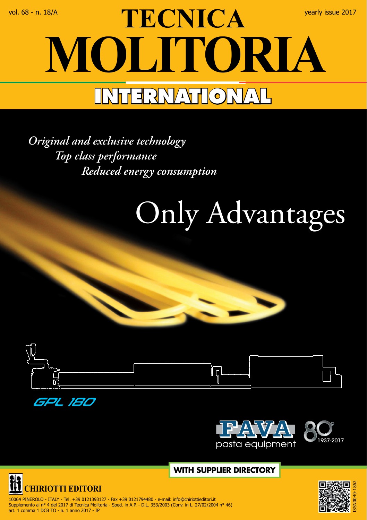## vol. 68 - n. 18/A yearly issue 2017<br> **TECNICA MOLITORIA INTERNATIONAL**

*Original and exclusive technology Top class performance Reduced energy consumption*

## Only Advantages









 **WITH SUPPLIER DIRECTORY**



 10064 PINEROLO - ITALY - Tel. +39 0121393127 - Fax +39 0121794480 - e-mail: info@chiriottieditori.it Supplemento al n° 4 del 2017 di Tecnica Molitoria - Sped. in A.P. - D.L. 353/2003 (Conv. in L. 27/02/2004 n° 46) art. 1 comma 1 DCB TO - n. 1 anno 2017 - IP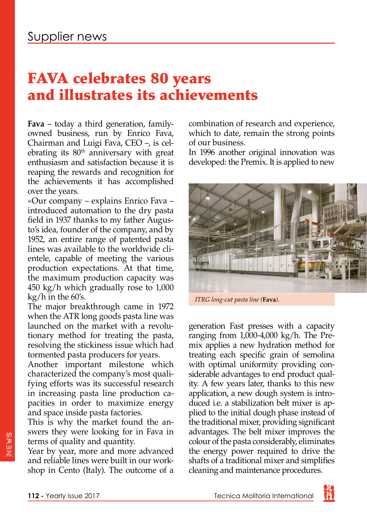## FAVA celebrates 80 years and illustrates its achievements

**Fava** – today a third generation, familyowned business, run by Enrico Fava, Chairman and Luigi Fava, CEO –, is celebrating its  $80<sup>th</sup>$  anniversary with great enthusiasm and satisfaction because it is reaping the rewards and recognition for the achievements it has accomplished over the years.

«Our company – explains Enrico Fava – introduced automation to the dry pasta field in 1937 thanks to my father Augusto's idea, founder of the company, and by 1952, an entire range of patented pasta lines was available to the worldwide clientele, capable of meeting the various production expectations. At that time, the maximum production capacity was 450 kg/h which gradually rose to 1,000 kg/h in the 60's.

The major breakthrough came in 1972 when the ATR long goods pasta line was launched on the market with a revolutionary method for treating the pasta, resolving the stickiness issue which had tormented pasta producers for years.

Another important milestone which characterized the company's most qualifying efforts was its successful research in increasing pasta line production capacities in order to maximize energy and space inside pasta factories.

This is why the market found the answers they were looking for in Fava in terms of quality and quantity.

Year by year, more and more advanced and reliable lines were built in our workshop in Cento (Italy). The outcome of a

combination of research and experience, which to date, remain the strong points of our business.

In 1996 another original innovation was developed: the Premix. It is applied to new



*ITRG long-cut pasta line (***Fava***).*

generation Fast presses with a capacity ranging from 1,000-4,000 kg/h. The Premix applies a new hydration method for treating each specific grain of semolina with optimal uniformity providing considerable advantages to end product quality. A few years later, thanks to this new application, a new dough system is introduced i.e. a stabilization belt mixer is applied to the initial dough phase instead of the traditional mixer, providing significant advantages. The belt mixer improves the colour of the pasta considerably, eliminates the energy power required to drive the shafts of a traditional mixer and simplifies cleaning and maintenance procedures.

NEWS